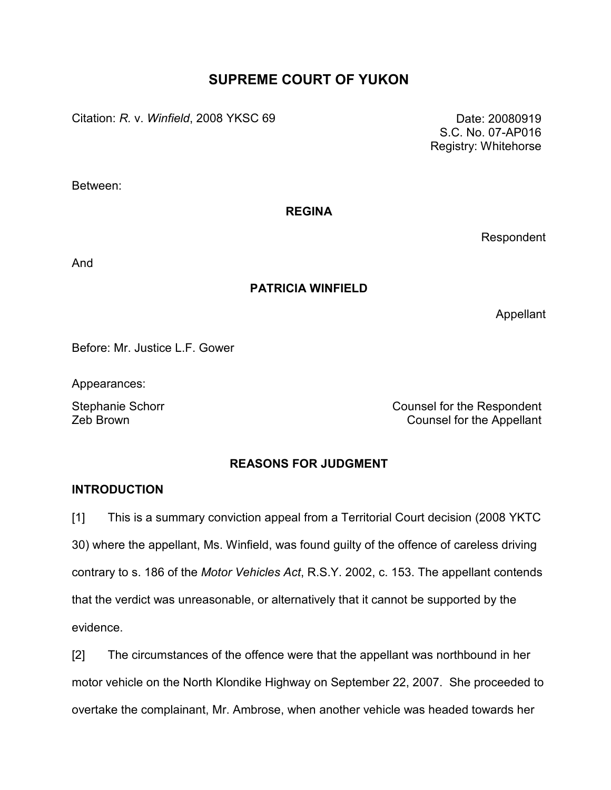# SUPREME COURT OF YUKON

Citation: R. v. Winfield, 2008 YKSC 69 Date: 20080919

 S.C. No. 07-AP016 Registry: Whitehorse

Between:

REGINA

Respondent

And

# PATRICIA WINFIELD

Appellant

Before: Mr. Justice L.F. Gower

Appearances:

Stephanie Schorr **Counsel for the Respondent** Zeb Brown Counsel for the Appellant

# REASONS FOR JUDGMENT

# **INTRODUCTION**

[1] This is a summary conviction appeal from a Territorial Court decision (2008 YKTC 30) where the appellant, Ms. Winfield, was found guilty of the offence of careless driving contrary to s. 186 of the Motor Vehicles Act, R.S.Y. 2002, c. 153. The appellant contends that the verdict was unreasonable, or alternatively that it cannot be supported by the evidence.

[2] The circumstances of the offence were that the appellant was northbound in her motor vehicle on the North Klondike Highway on September 22, 2007. She proceeded to overtake the complainant, Mr. Ambrose, when another vehicle was headed towards her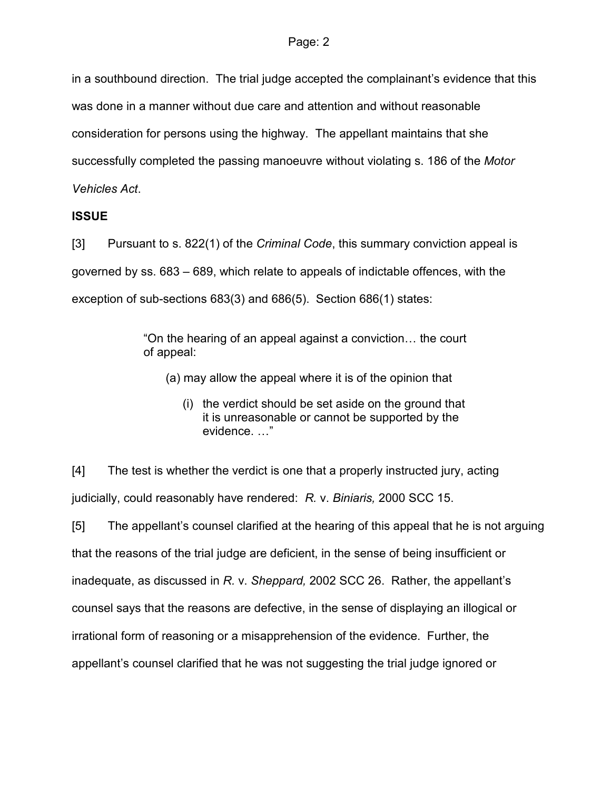in a southbound direction. The trial judge accepted the complainant's evidence that this was done in a manner without due care and attention and without reasonable consideration for persons using the highway. The appellant maintains that she successfully completed the passing manoeuvre without violating s. 186 of the Motor Vehicles Act.

# **ISSUE**

[3] Pursuant to s. 822(1) of the *Criminal Code*, this summary conviction appeal is governed by ss. 683 – 689, which relate to appeals of indictable offences, with the exception of sub-sections 683(3) and 686(5). Section 686(1) states:

> "On the hearing of an appeal against a conviction… the court of appeal:

- (a) may allow the appeal where it is of the opinion that
	- (i) the verdict should be set aside on the ground that it is unreasonable or cannot be supported by the evidence. …"

[4] The test is whether the verdict is one that a properly instructed jury, acting judicially, could reasonably have rendered: R. v. Biniaris, 2000 SCC 15.

[5] The appellant's counsel clarified at the hearing of this appeal that he is not arguing that the reasons of the trial judge are deficient, in the sense of being insufficient or inadequate, as discussed in R. v. Sheppard, 2002 SCC 26. Rather, the appellant's counsel says that the reasons are defective, in the sense of displaying an illogical or irrational form of reasoning or a misapprehension of the evidence. Further, the appellant's counsel clarified that he was not suggesting the trial judge ignored or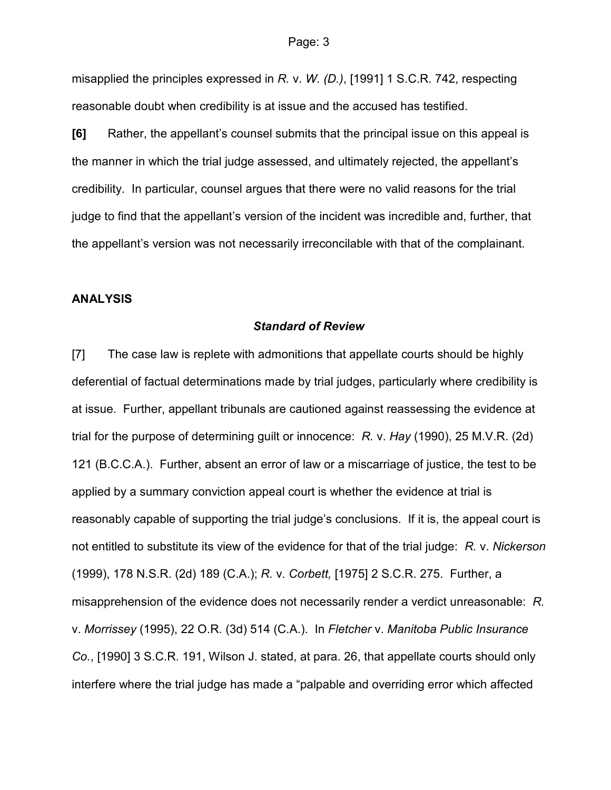misapplied the principles expressed in R. v. W. (D.), [1991] 1 S.C.R. 742, respecting reasonable doubt when credibility is at issue and the accused has testified.

[6] Rather, the appellant's counsel submits that the principal issue on this appeal is the manner in which the trial judge assessed, and ultimately rejected, the appellant's credibility. In particular, counsel argues that there were no valid reasons for the trial judge to find that the appellant's version of the incident was incredible and, further, that the appellant's version was not necessarily irreconcilable with that of the complainant.

### ANALYSIS

#### Standard of Review

[7] The case law is replete with admonitions that appellate courts should be highly deferential of factual determinations made by trial judges, particularly where credibility is at issue. Further, appellant tribunals are cautioned against reassessing the evidence at trial for the purpose of determining guilt or innocence: R. v. Hay (1990), 25 M.V.R. (2d) 121 (B.C.C.A.). Further, absent an error of law or a miscarriage of justice, the test to be applied by a summary conviction appeal court is whether the evidence at trial is reasonably capable of supporting the trial judge's conclusions. If it is, the appeal court is not entitled to substitute its view of the evidence for that of the trial judge: R. v. Nickerson (1999), 178 N.S.R. (2d) 189 (C.A.); R. v. Corbett, [1975] 2 S.C.R. 275. Further, a misapprehension of the evidence does not necessarily render a verdict unreasonable: R. v. Morrissey (1995), 22 O.R. (3d) 514 (C.A.). In Fletcher v. Manitoba Public Insurance Co., [1990] 3 S.C.R. 191, Wilson J. stated, at para. 26, that appellate courts should only interfere where the trial judge has made a "palpable and overriding error which affected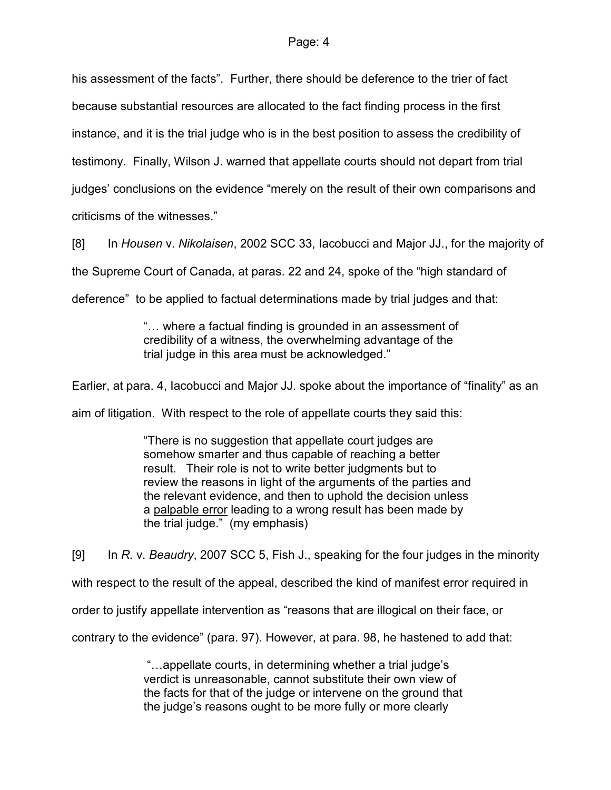his assessment of the facts". Further, there should be deference to the trier of fact because substantial resources are allocated to the fact finding process in the first instance, and it is the trial judge who is in the best position to assess the credibility of testimony. Finally, Wilson J. warned that appellate courts should not depart from trial judges' conclusions on the evidence "merely on the result of their own comparisons and criticisms of the witnesses."

[8] In Housen v. Nikolaisen, 2002 SCC 33, Iacobucci and Major JJ., for the majority of the Supreme Court of Canada, at paras. 22 and 24, spoke of the "high standard of deference" to be applied to factual determinations made by trial judges and that:

> "… where a factual finding is grounded in an assessment of credibility of a witness, the overwhelming advantage of the trial judge in this area must be acknowledged."

Earlier, at para. 4, Iacobucci and Major JJ. spoke about the importance of "finality" as an

aim of litigation. With respect to the role of appellate courts they said this:

"There is no suggestion that appellate court judges are somehow smarter and thus capable of reaching a better result. Their role is not to write better judgments but to review the reasons in light of the arguments of the parties and the relevant evidence, and then to uphold the decision unless a palpable error leading to a wrong result has been made by the trial judge." (my emphasis)

[9] In R. v. Beaudry, 2007 SCC 5, Fish J., speaking for the four judges in the minority with respect to the result of the appeal, described the kind of manifest error required in order to justify appellate intervention as "reasons that are illogical on their face, or contrary to the evidence" (para. 97). However, at para. 98, he hastened to add that:

> "…appellate courts, in determining whether a trial judge's verdict is unreasonable, cannot substitute their own view of the facts for that of the judge or intervene on the ground that the judge's reasons ought to be more fully or more clearly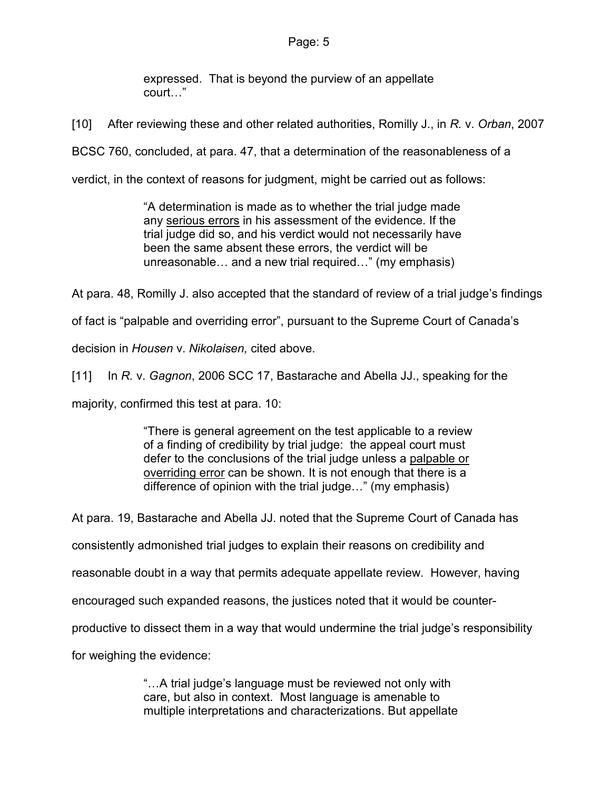expressed. That is beyond the purview of an appellate court…"

[10] After reviewing these and other related authorities, Romilly J., in R. v. Orban, 2007

BCSC 760, concluded, at para. 47, that a determination of the reasonableness of a

verdict, in the context of reasons for judgment, might be carried out as follows:

"A determination is made as to whether the trial judge made any serious errors in his assessment of the evidence. If the trial judge did so, and his verdict would not necessarily have been the same absent these errors, the verdict will be unreasonable… and a new trial required…" (my emphasis)

At para. 48, Romilly J. also accepted that the standard of review of a trial judge's findings

of fact is "palpable and overriding error", pursuant to the Supreme Court of Canada's

decision in Housen v. Nikolaisen, cited above.

[11] In R. v. Gagnon, 2006 SCC 17, Bastarache and Abella JJ., speaking for the

majority, confirmed this test at para. 10:

"There is general agreement on the test applicable to a review of a finding of credibility by trial judge: the appeal court must defer to the conclusions of the trial judge unless a palpable or overriding error can be shown. It is not enough that there is a difference of opinion with the trial judge…" (my emphasis)

At para. 19, Bastarache and Abella JJ. noted that the Supreme Court of Canada has consistently admonished trial judges to explain their reasons on credibility and reasonable doubt in a way that permits adequate appellate review. However, having encouraged such expanded reasons, the justices noted that it would be counterproductive to dissect them in a way that would undermine the trial judge's responsibility for weighing the evidence:

> "…A trial judge's language must be reviewed not only with care, but also in context. Most language is amenable to multiple interpretations and characterizations. But appellate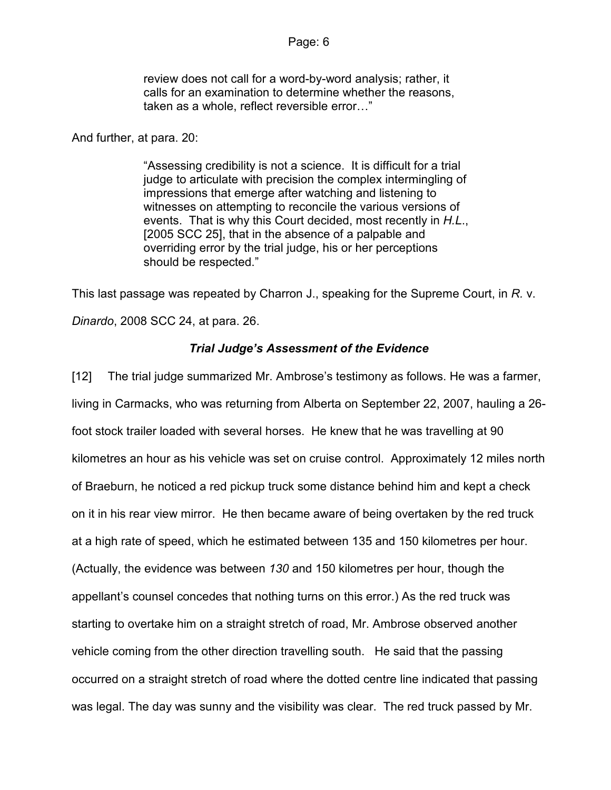review does not call for a word-by-word analysis; rather, it calls for an examination to determine whether the reasons, taken as a whole, reflect reversible error…"

#### And further, at para. 20:

"Assessing credibility is not a science. It is difficult for a trial judge to articulate with precision the complex intermingling of impressions that emerge after watching and listening to witnesses on attempting to reconcile the various versions of events. That is why this Court decided, most recently in H.L., [2005 SCC 25], that in the absence of a palpable and overriding error by the trial judge, his or her perceptions should be respected."

This last passage was repeated by Charron J., speaking for the Supreme Court, in R. v. Dinardo, 2008 SCC 24, at para. 26.

# Trial Judge's Assessment of the Evidence

[12] The trial judge summarized Mr. Ambrose's testimony as follows. He was a farmer, living in Carmacks, who was returning from Alberta on September 22, 2007, hauling a 26 foot stock trailer loaded with several horses. He knew that he was travelling at 90 kilometres an hour as his vehicle was set on cruise control. Approximately 12 miles north of Braeburn, he noticed a red pickup truck some distance behind him and kept a check on it in his rear view mirror. He then became aware of being overtaken by the red truck at a high rate of speed, which he estimated between 135 and 150 kilometres per hour. (Actually, the evidence was between 130 and 150 kilometres per hour, though the appellant's counsel concedes that nothing turns on this error.) As the red truck was starting to overtake him on a straight stretch of road, Mr. Ambrose observed another vehicle coming from the other direction travelling south. He said that the passing occurred on a straight stretch of road where the dotted centre line indicated that passing was legal. The day was sunny and the visibility was clear. The red truck passed by Mr.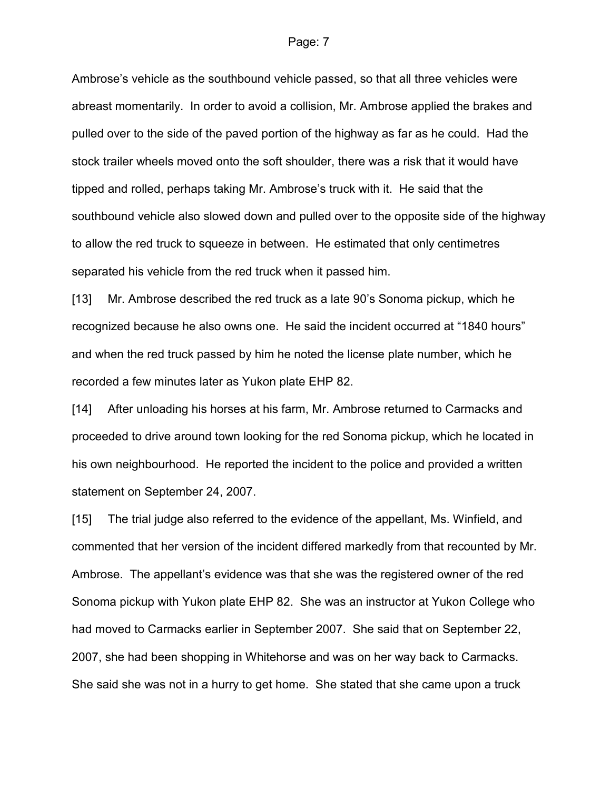Ambrose's vehicle as the southbound vehicle passed, so that all three vehicles were abreast momentarily. In order to avoid a collision, Mr. Ambrose applied the brakes and pulled over to the side of the paved portion of the highway as far as he could. Had the stock trailer wheels moved onto the soft shoulder, there was a risk that it would have tipped and rolled, perhaps taking Mr. Ambrose's truck with it. He said that the southbound vehicle also slowed down and pulled over to the opposite side of the highway to allow the red truck to squeeze in between. He estimated that only centimetres separated his vehicle from the red truck when it passed him.

[13] Mr. Ambrose described the red truck as a late 90's Sonoma pickup, which he recognized because he also owns one. He said the incident occurred at "1840 hours" and when the red truck passed by him he noted the license plate number, which he recorded a few minutes later as Yukon plate EHP 82.

[14] After unloading his horses at his farm, Mr. Ambrose returned to Carmacks and proceeded to drive around town looking for the red Sonoma pickup, which he located in his own neighbourhood. He reported the incident to the police and provided a written statement on September 24, 2007.

[15] The trial judge also referred to the evidence of the appellant, Ms. Winfield, and commented that her version of the incident differed markedly from that recounted by Mr. Ambrose. The appellant's evidence was that she was the registered owner of the red Sonoma pickup with Yukon plate EHP 82. She was an instructor at Yukon College who had moved to Carmacks earlier in September 2007. She said that on September 22, 2007, she had been shopping in Whitehorse and was on her way back to Carmacks. She said she was not in a hurry to get home. She stated that she came upon a truck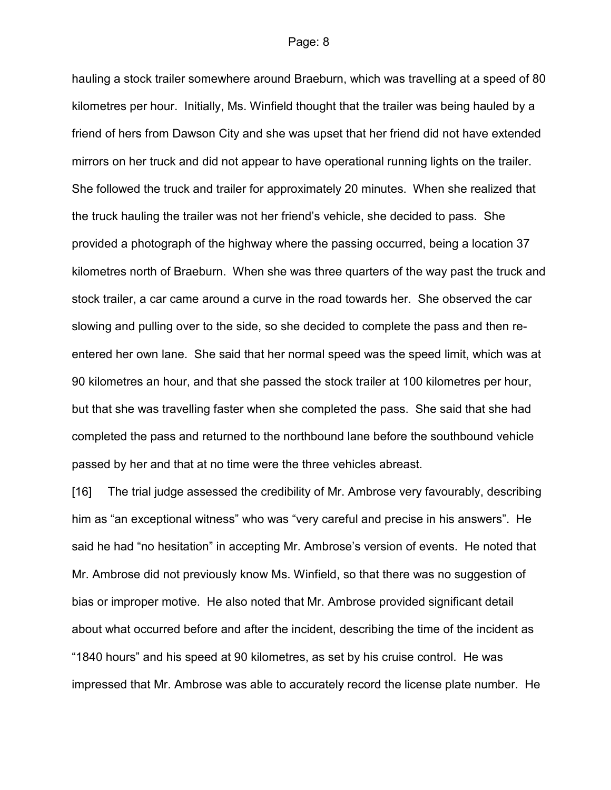hauling a stock trailer somewhere around Braeburn, which was travelling at a speed of 80 kilometres per hour. Initially, Ms. Winfield thought that the trailer was being hauled by a friend of hers from Dawson City and she was upset that her friend did not have extended mirrors on her truck and did not appear to have operational running lights on the trailer. She followed the truck and trailer for approximately 20 minutes. When she realized that the truck hauling the trailer was not her friend's vehicle, she decided to pass. She provided a photograph of the highway where the passing occurred, being a location 37 kilometres north of Braeburn. When she was three quarters of the way past the truck and stock trailer, a car came around a curve in the road towards her. She observed the car slowing and pulling over to the side, so she decided to complete the pass and then reentered her own lane. She said that her normal speed was the speed limit, which was at 90 kilometres an hour, and that she passed the stock trailer at 100 kilometres per hour, but that she was travelling faster when she completed the pass. She said that she had completed the pass and returned to the northbound lane before the southbound vehicle passed by her and that at no time were the three vehicles abreast.

[16] The trial judge assessed the credibility of Mr. Ambrose very favourably, describing him as "an exceptional witness" who was "very careful and precise in his answers". He said he had "no hesitation" in accepting Mr. Ambrose's version of events. He noted that Mr. Ambrose did not previously know Ms. Winfield, so that there was no suggestion of bias or improper motive. He also noted that Mr. Ambrose provided significant detail about what occurred before and after the incident, describing the time of the incident as "1840 hours" and his speed at 90 kilometres, as set by his cruise control. He was impressed that Mr. Ambrose was able to accurately record the license plate number. He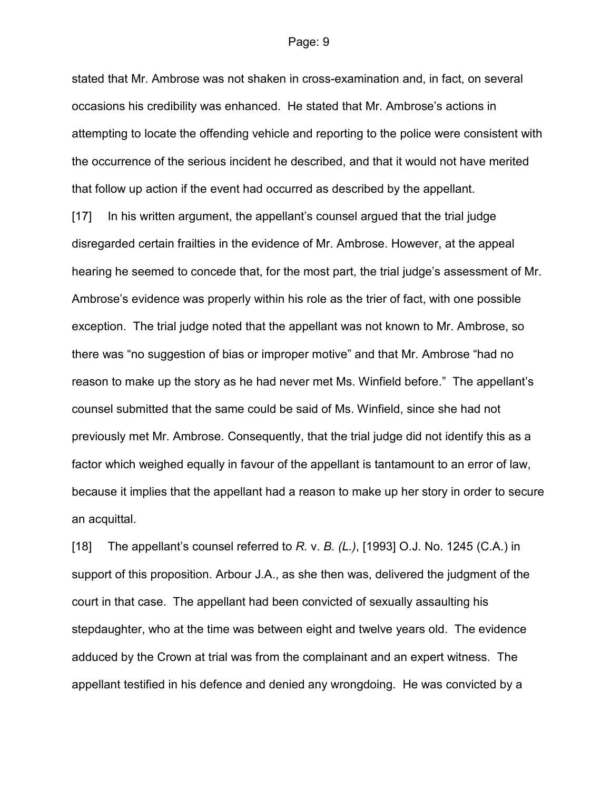stated that Mr. Ambrose was not shaken in cross-examination and, in fact, on several occasions his credibility was enhanced. He stated that Mr. Ambrose's actions in attempting to locate the offending vehicle and reporting to the police were consistent with the occurrence of the serious incident he described, and that it would not have merited that follow up action if the event had occurred as described by the appellant.

[17] In his written argument, the appellant's counsel argued that the trial judge disregarded certain frailties in the evidence of Mr. Ambrose. However, at the appeal hearing he seemed to concede that, for the most part, the trial judge's assessment of Mr. Ambrose's evidence was properly within his role as the trier of fact, with one possible exception. The trial judge noted that the appellant was not known to Mr. Ambrose, so there was "no suggestion of bias or improper motive" and that Mr. Ambrose "had no reason to make up the story as he had never met Ms. Winfield before." The appellant's counsel submitted that the same could be said of Ms. Winfield, since she had not previously met Mr. Ambrose. Consequently, that the trial judge did not identify this as a factor which weighed equally in favour of the appellant is tantamount to an error of law, because it implies that the appellant had a reason to make up her story in order to secure an acquittal.

[18] The appellant's counsel referred to R. v. B.  $(L<sub>1</sub>)$ , [1993] O.J. No. 1245 (C.A.) in support of this proposition. Arbour J.A., as she then was, delivered the judgment of the court in that case. The appellant had been convicted of sexually assaulting his stepdaughter, who at the time was between eight and twelve years old. The evidence adduced by the Crown at trial was from the complainant and an expert witness. The appellant testified in his defence and denied any wrongdoing. He was convicted by a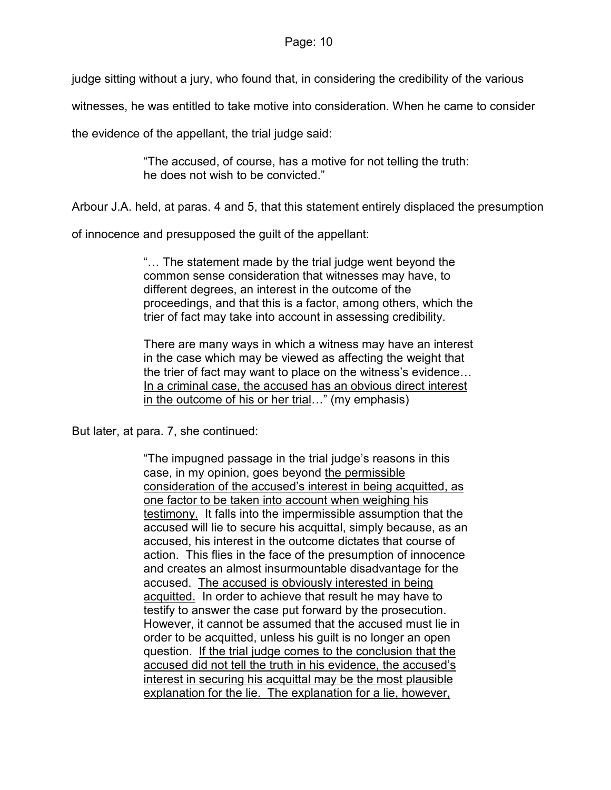judge sitting without a jury, who found that, in considering the credibility of the various

witnesses, he was entitled to take motive into consideration. When he came to consider

the evidence of the appellant, the trial judge said:

"The accused, of course, has a motive for not telling the truth: he does not wish to be convicted."

Arbour J.A. held, at paras. 4 and 5, that this statement entirely displaced the presumption

of innocence and presupposed the guilt of the appellant:

"… The statement made by the trial judge went beyond the common sense consideration that witnesses may have, to different degrees, an interest in the outcome of the proceedings, and that this is a factor, among others, which the trier of fact may take into account in assessing credibility.

There are many ways in which a witness may have an interest in the case which may be viewed as affecting the weight that the trier of fact may want to place on the witness's evidence… In a criminal case, the accused has an obvious direct interest in the outcome of his or her trial…" (my emphasis)

But later, at para. 7, she continued:

"The impugned passage in the trial judge's reasons in this case, in my opinion, goes beyond the permissible consideration of the accused's interest in being acquitted, as one factor to be taken into account when weighing his testimony. It falls into the impermissible assumption that the accused will lie to secure his acquittal, simply because, as an accused, his interest in the outcome dictates that course of action. This flies in the face of the presumption of innocence and creates an almost insurmountable disadvantage for the accused. The accused is obviously interested in being acquitted. In order to achieve that result he may have to testify to answer the case put forward by the prosecution. However, it cannot be assumed that the accused must lie in order to be acquitted, unless his guilt is no longer an open question. If the trial judge comes to the conclusion that the accused did not tell the truth in his evidence, the accused's interest in securing his acquittal may be the most plausible explanation for the lie. The explanation for a lie, however,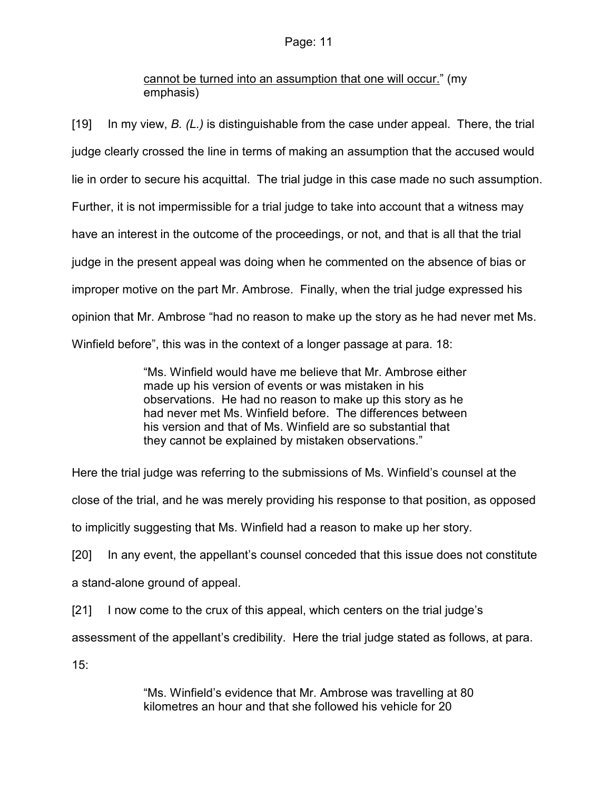# cannot be turned into an assumption that one will occur." (my emphasis)

[19] In my view,  $B. (L)$  is distinguishable from the case under appeal. There, the trial judge clearly crossed the line in terms of making an assumption that the accused would lie in order to secure his acquittal. The trial judge in this case made no such assumption. Further, it is not impermissible for a trial judge to take into account that a witness may have an interest in the outcome of the proceedings, or not, and that is all that the trial judge in the present appeal was doing when he commented on the absence of bias or improper motive on the part Mr. Ambrose. Finally, when the trial judge expressed his opinion that Mr. Ambrose "had no reason to make up the story as he had never met Ms. Winfield before", this was in the context of a longer passage at para. 18:

> "Ms. Winfield would have me believe that Mr. Ambrose either made up his version of events or was mistaken in his observations. He had no reason to make up this story as he had never met Ms. Winfield before. The differences between his version and that of Ms. Winfield are so substantial that they cannot be explained by mistaken observations."

Here the trial judge was referring to the submissions of Ms. Winfield's counsel at the

close of the trial, and he was merely providing his response to that position, as opposed

to implicitly suggesting that Ms. Winfield had a reason to make up her story.

[20] In any event, the appellant's counsel conceded that this issue does not constitute a stand-alone ground of appeal.

[21] I now come to the crux of this appeal, which centers on the trial judge's

assessment of the appellant's credibility. Here the trial judge stated as follows, at para.

15:

"Ms. Winfield's evidence that Mr. Ambrose was travelling at 80 kilometres an hour and that she followed his vehicle for 20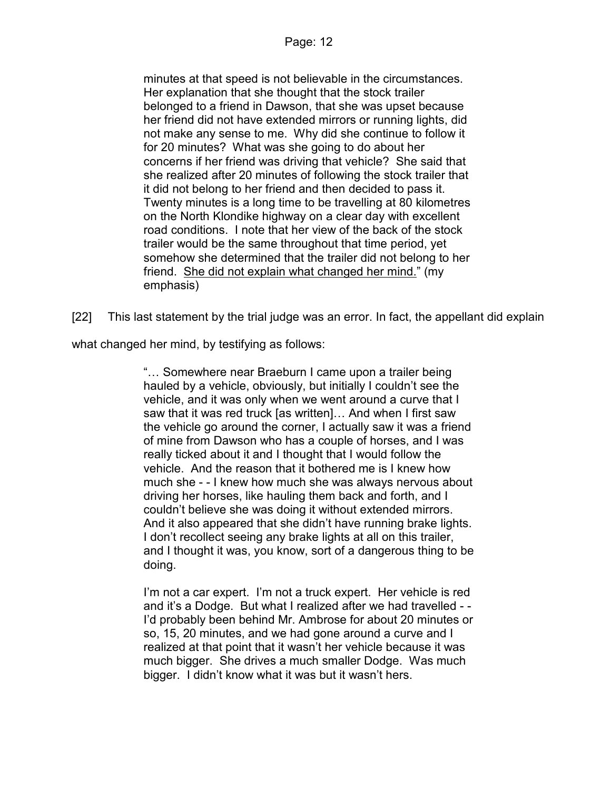minutes at that speed is not believable in the circumstances. Her explanation that she thought that the stock trailer belonged to a friend in Dawson, that she was upset because her friend did not have extended mirrors or running lights, did not make any sense to me. Why did she continue to follow it for 20 minutes? What was she going to do about her concerns if her friend was driving that vehicle? She said that she realized after 20 minutes of following the stock trailer that it did not belong to her friend and then decided to pass it. Twenty minutes is a long time to be travelling at 80 kilometres on the North Klondike highway on a clear day with excellent road conditions. I note that her view of the back of the stock trailer would be the same throughout that time period, yet somehow she determined that the trailer did not belong to her friend. She did not explain what changed her mind." (my emphasis)

[22] This last statement by the trial judge was an error. In fact, the appellant did explain

what changed her mind, by testifying as follows:

"… Somewhere near Braeburn I came upon a trailer being hauled by a vehicle, obviously, but initially I couldn't see the vehicle, and it was only when we went around a curve that I saw that it was red truck [as written]… And when I first saw the vehicle go around the corner, I actually saw it was a friend of mine from Dawson who has a couple of horses, and I was really ticked about it and I thought that I would follow the vehicle. And the reason that it bothered me is I knew how much she - - I knew how much she was always nervous about driving her horses, like hauling them back and forth, and I couldn't believe she was doing it without extended mirrors. And it also appeared that she didn't have running brake lights. I don't recollect seeing any brake lights at all on this trailer, and I thought it was, you know, sort of a dangerous thing to be doing.

I'm not a car expert. I'm not a truck expert. Her vehicle is red and it's a Dodge. But what I realized after we had travelled - - I'd probably been behind Mr. Ambrose for about 20 minutes or so, 15, 20 minutes, and we had gone around a curve and I realized at that point that it wasn't her vehicle because it was much bigger. She drives a much smaller Dodge. Was much bigger. I didn't know what it was but it wasn't hers.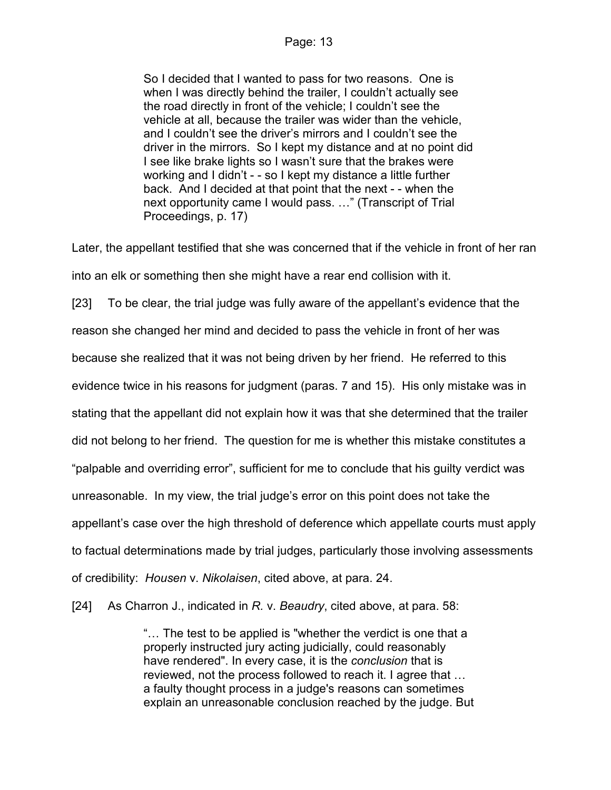So I decided that I wanted to pass for two reasons. One is when I was directly behind the trailer, I couldn't actually see the road directly in front of the vehicle; I couldn't see the vehicle at all, because the trailer was wider than the vehicle, and I couldn't see the driver's mirrors and I couldn't see the driver in the mirrors. So I kept my distance and at no point did I see like brake lights so I wasn't sure that the brakes were working and I didn't - - so I kept my distance a little further back. And I decided at that point that the next - - when the next opportunity came I would pass. …" (Transcript of Trial Proceedings, p. 17)

Later, the appellant testified that she was concerned that if the vehicle in front of her ran into an elk or something then she might have a rear end collision with it.

[23] To be clear, the trial judge was fully aware of the appellant's evidence that the

reason she changed her mind and decided to pass the vehicle in front of her was

because she realized that it was not being driven by her friend. He referred to this

evidence twice in his reasons for judgment (paras. 7 and 15). His only mistake was in

stating that the appellant did not explain how it was that she determined that the trailer

did not belong to her friend. The question for me is whether this mistake constitutes a

"palpable and overriding error", sufficient for me to conclude that his guilty verdict was

unreasonable. In my view, the trial judge's error on this point does not take the

appellant's case over the high threshold of deference which appellate courts must apply

to factual determinations made by trial judges, particularly those involving assessments

of credibility: Housen v. Nikolaisen, cited above, at para. 24.

[24] As Charron J., indicated in R. v. Beaudry, cited above, at para. 58:

"… The test to be applied is "whether the verdict is one that a properly instructed jury acting judicially, could reasonably have rendered". In every case, it is the *conclusion* that is reviewed, not the process followed to reach it. I agree that … a faulty thought process in a judge's reasons can sometimes explain an unreasonable conclusion reached by the judge. But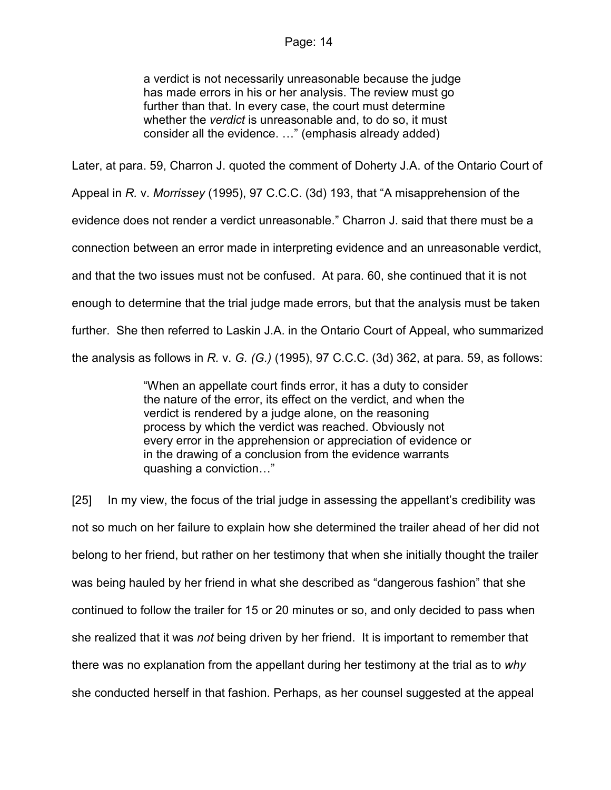a verdict is not necessarily unreasonable because the judge has made errors in his or her analysis. The review must go further than that. In every case, the court must determine whether the *verdict* is unreasonable and, to do so, it must consider all the evidence. …" (emphasis already added)

Later, at para. 59, Charron J. quoted the comment of Doherty J.A. of the Ontario Court of Appeal in R. v. Morrissey (1995), 97 C.C.C. (3d) 193, that "A misapprehension of the evidence does not render a verdict unreasonable." Charron J. said that there must be a connection between an error made in interpreting evidence and an unreasonable verdict, and that the two issues must not be confused. At para. 60, she continued that it is not enough to determine that the trial judge made errors, but that the analysis must be taken further. She then referred to Laskin J.A. in the Ontario Court of Appeal, who summarized the analysis as follows in R. v. G.  $(G.)$  (1995), 97 C.C.C. (3d) 362, at para. 59, as follows:

> "When an appellate court finds error, it has a duty to consider the nature of the error, its effect on the verdict, and when the verdict is rendered by a judge alone, on the reasoning process by which the verdict was reached. Obviously not every error in the apprehension or appreciation of evidence or in the drawing of a conclusion from the evidence warrants quashing a conviction…"

[25] In my view, the focus of the trial judge in assessing the appellant's credibility was not so much on her failure to explain how she determined the trailer ahead of her did not belong to her friend, but rather on her testimony that when she initially thought the trailer was being hauled by her friend in what she described as "dangerous fashion" that she continued to follow the trailer for 15 or 20 minutes or so, and only decided to pass when she realized that it was not being driven by her friend. It is important to remember that there was no explanation from the appellant during her testimony at the trial as to why she conducted herself in that fashion. Perhaps, as her counsel suggested at the appeal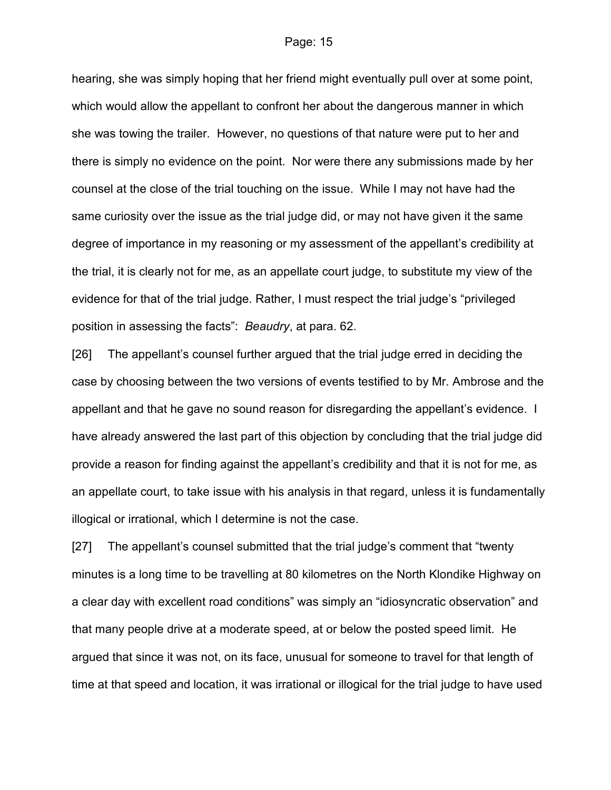hearing, she was simply hoping that her friend might eventually pull over at some point, which would allow the appellant to confront her about the dangerous manner in which she was towing the trailer. However, no questions of that nature were put to her and there is simply no evidence on the point. Nor were there any submissions made by her counsel at the close of the trial touching on the issue. While I may not have had the same curiosity over the issue as the trial judge did, or may not have given it the same degree of importance in my reasoning or my assessment of the appellant's credibility at the trial, it is clearly not for me, as an appellate court judge, to substitute my view of the evidence for that of the trial judge. Rather, I must respect the trial judge's "privileged position in assessing the facts": Beaudry, at para. 62.

[26] The appellant's counsel further argued that the trial judge erred in deciding the case by choosing between the two versions of events testified to by Mr. Ambrose and the appellant and that he gave no sound reason for disregarding the appellant's evidence. I have already answered the last part of this objection by concluding that the trial judge did provide a reason for finding against the appellant's credibility and that it is not for me, as an appellate court, to take issue with his analysis in that regard, unless it is fundamentally illogical or irrational, which I determine is not the case.

[27] The appellant's counsel submitted that the trial judge's comment that "twenty minutes is a long time to be travelling at 80 kilometres on the North Klondike Highway on a clear day with excellent road conditions" was simply an "idiosyncratic observation" and that many people drive at a moderate speed, at or below the posted speed limit. He argued that since it was not, on its face, unusual for someone to travel for that length of time at that speed and location, it was irrational or illogical for the trial judge to have used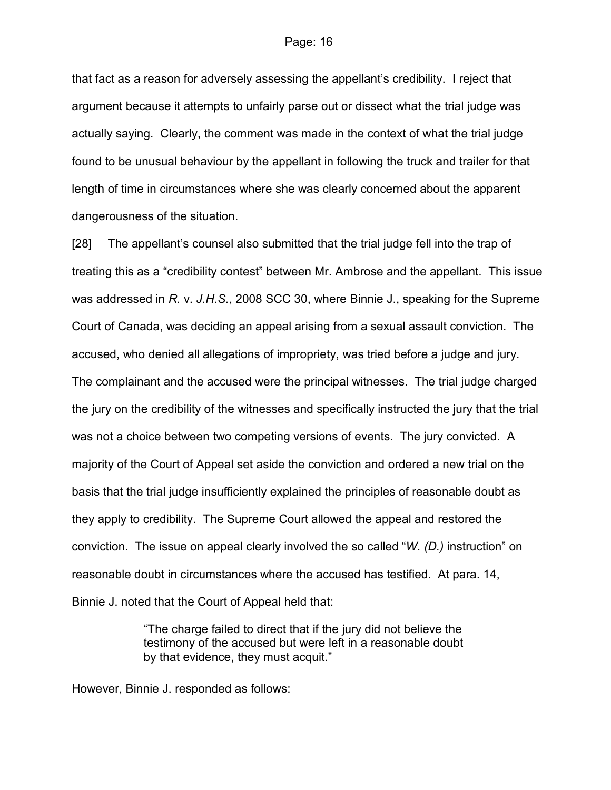that fact as a reason for adversely assessing the appellant's credibility. I reject that argument because it attempts to unfairly parse out or dissect what the trial judge was actually saying. Clearly, the comment was made in the context of what the trial judge found to be unusual behaviour by the appellant in following the truck and trailer for that length of time in circumstances where she was clearly concerned about the apparent dangerousness of the situation.

[28] The appellant's counsel also submitted that the trial judge fell into the trap of treating this as a "credibility contest" between Mr. Ambrose and the appellant. This issue was addressed in R. v. J.H.S., 2008 SCC 30, where Binnie J., speaking for the Supreme Court of Canada, was deciding an appeal arising from a sexual assault conviction. The accused, who denied all allegations of impropriety, was tried before a judge and jury. The complainant and the accused were the principal witnesses. The trial judge charged the jury on the credibility of the witnesses and specifically instructed the jury that the trial was not a choice between two competing versions of events. The jury convicted. A majority of the Court of Appeal set aside the conviction and ordered a new trial on the basis that the trial judge insufficiently explained the principles of reasonable doubt as they apply to credibility. The Supreme Court allowed the appeal and restored the conviction. The issue on appeal clearly involved the so called "W. (D.) instruction" on reasonable doubt in circumstances where the accused has testified. At para. 14, Binnie J. noted that the Court of Appeal held that:

> "The charge failed to direct that if the jury did not believe the testimony of the accused but were left in a reasonable doubt by that evidence, they must acquit."

However, Binnie J. responded as follows: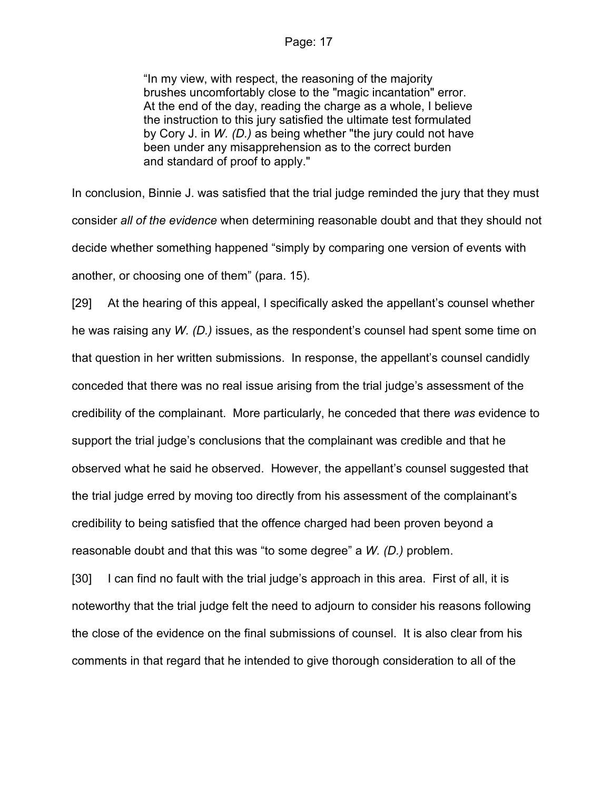"In my view, with respect, the reasoning of the majority brushes uncomfortably close to the "magic incantation" error. At the end of the day, reading the charge as a whole, I believe the instruction to this jury satisfied the ultimate test formulated by Cory J. in W. (D.) as being whether "the jury could not have been under any misapprehension as to the correct burden and standard of proof to apply."

In conclusion, Binnie J. was satisfied that the trial judge reminded the jury that they must consider all of the evidence when determining reasonable doubt and that they should not decide whether something happened "simply by comparing one version of events with another, or choosing one of them" (para. 15).

[29] At the hearing of this appeal, I specifically asked the appellant's counsel whether he was raising any W. (D.) issues, as the respondent's counsel had spent some time on that question in her written submissions. In response, the appellant's counsel candidly conceded that there was no real issue arising from the trial judge's assessment of the credibility of the complainant. More particularly, he conceded that there was evidence to support the trial judge's conclusions that the complainant was credible and that he observed what he said he observed. However, the appellant's counsel suggested that the trial judge erred by moving too directly from his assessment of the complainant's credibility to being satisfied that the offence charged had been proven beyond a reasonable doubt and that this was "to some degree" a  $W$ .  $(D)$  problem.

[30] I can find no fault with the trial judge's approach in this area. First of all, it is noteworthy that the trial judge felt the need to adjourn to consider his reasons following the close of the evidence on the final submissions of counsel. It is also clear from his comments in that regard that he intended to give thorough consideration to all of the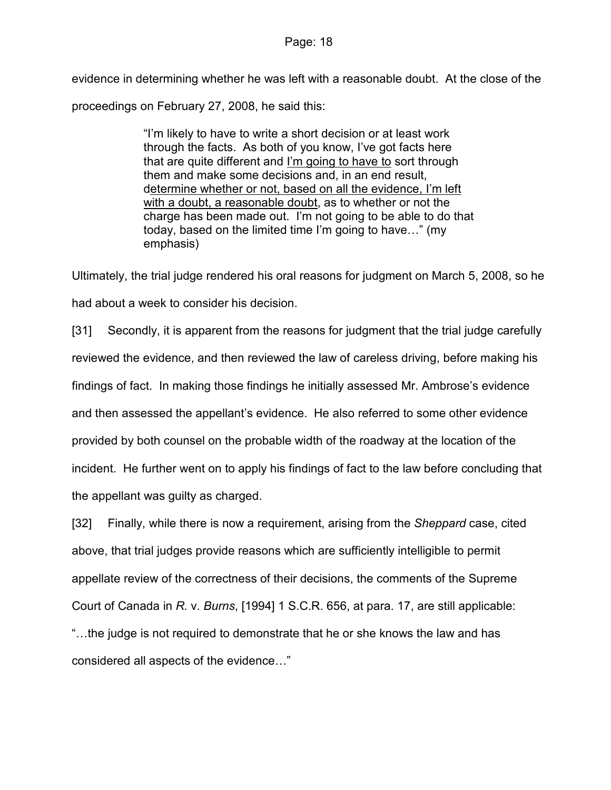evidence in determining whether he was left with a reasonable doubt. At the close of the proceedings on February 27, 2008, he said this:

> "I'm likely to have to write a short decision or at least work through the facts. As both of you know, I've got facts here that are quite different and I'm going to have to sort through them and make some decisions and, in an end result, determine whether or not, based on all the evidence, I'm left with a doubt, a reasonable doubt, as to whether or not the charge has been made out. I'm not going to be able to do that today, based on the limited time I'm going to have…" (my emphasis)

Ultimately, the trial judge rendered his oral reasons for judgment on March 5, 2008, so he had about a week to consider his decision.

[31] Secondly, it is apparent from the reasons for judgment that the trial judge carefully reviewed the evidence, and then reviewed the law of careless driving, before making his findings of fact. In making those findings he initially assessed Mr. Ambrose's evidence and then assessed the appellant's evidence. He also referred to some other evidence provided by both counsel on the probable width of the roadway at the location of the incident. He further went on to apply his findings of fact to the law before concluding that the appellant was guilty as charged.

[32] Finally, while there is now a requirement, arising from the Sheppard case, cited above, that trial judges provide reasons which are sufficiently intelligible to permit appellate review of the correctness of their decisions, the comments of the Supreme Court of Canada in R. v. Burns, [1994] 1 S.C.R. 656, at para. 17, are still applicable: "…the judge is not required to demonstrate that he or she knows the law and has considered all aspects of the evidence…"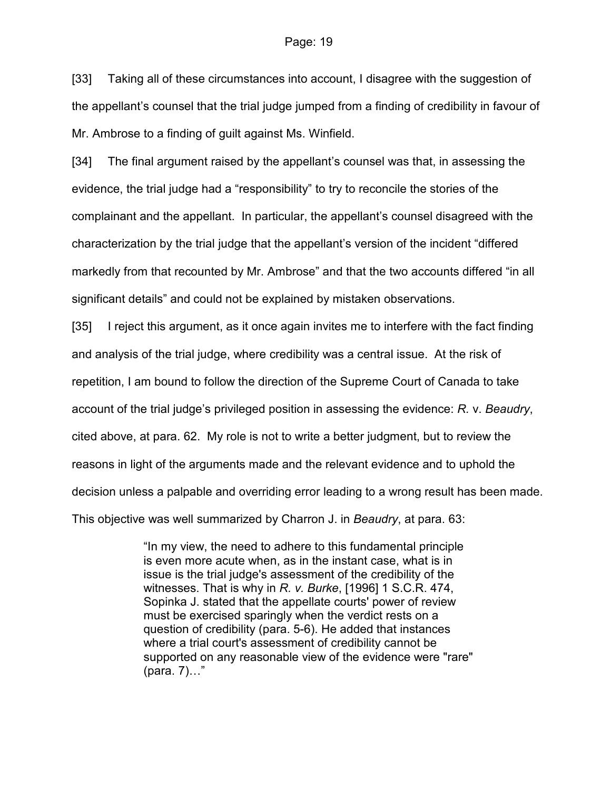[33] Taking all of these circumstances into account, I disagree with the suggestion of the appellant's counsel that the trial judge jumped from a finding of credibility in favour of Mr. Ambrose to a finding of guilt against Ms. Winfield.

[34] The final argument raised by the appellant's counsel was that, in assessing the evidence, the trial judge had a "responsibility" to try to reconcile the stories of the complainant and the appellant. In particular, the appellant's counsel disagreed with the characterization by the trial judge that the appellant's version of the incident "differed markedly from that recounted by Mr. Ambrose" and that the two accounts differed "in all significant details" and could not be explained by mistaken observations.

[35] I reject this argument, as it once again invites me to interfere with the fact finding and analysis of the trial judge, where credibility was a central issue. At the risk of repetition, I am bound to follow the direction of the Supreme Court of Canada to take account of the trial judge's privileged position in assessing the evidence: R. v. Beaudry, cited above, at para. 62. My role is not to write a better judgment, but to review the reasons in light of the arguments made and the relevant evidence and to uphold the decision unless a palpable and overriding error leading to a wrong result has been made. This objective was well summarized by Charron J. in Beaudry, at para. 63:

> "In my view, the need to adhere to this fundamental principle is even more acute when, as in the instant case, what is in issue is the trial judge's assessment of the credibility of the witnesses. That is why in R. v. Burke, [1996] 1 S.C.R. 474, Sopinka J. stated that the appellate courts' power of review must be exercised sparingly when the verdict rests on a question of credibility (para. 5-6). He added that instances where a trial court's assessment of credibility cannot be supported on any reasonable view of the evidence were "rare" (para. 7)…"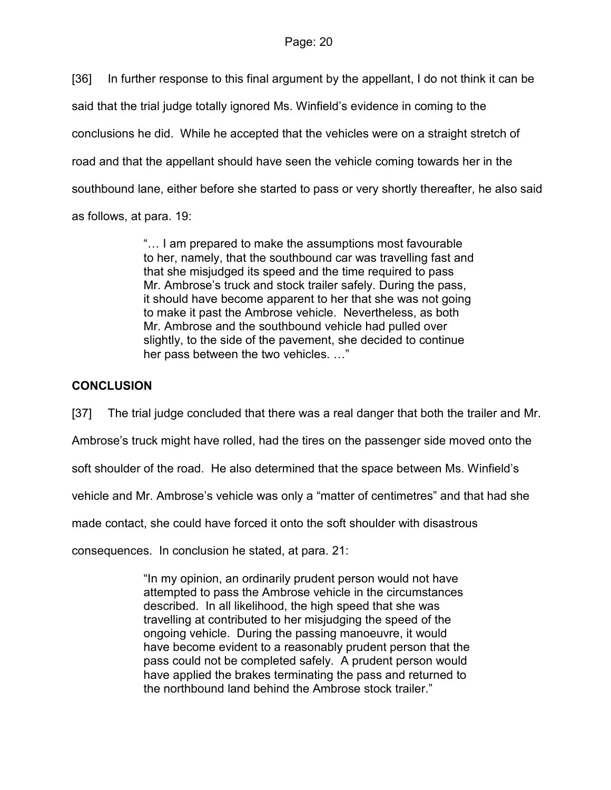[36] In further response to this final argument by the appellant, I do not think it can be said that the trial judge totally ignored Ms. Winfield's evidence in coming to the conclusions he did. While he accepted that the vehicles were on a straight stretch of road and that the appellant should have seen the vehicle coming towards her in the southbound lane, either before she started to pass or very shortly thereafter, he also said as follows, at para. 19:

> "… I am prepared to make the assumptions most favourable to her, namely, that the southbound car was travelling fast and that she misjudged its speed and the time required to pass Mr. Ambrose's truck and stock trailer safely. During the pass, it should have become apparent to her that she was not going to make it past the Ambrose vehicle. Nevertheless, as both Mr. Ambrose and the southbound vehicle had pulled over slightly, to the side of the pavement, she decided to continue her pass between the two vehicles. …"

# **CONCLUSION**

[37] The trial judge concluded that there was a real danger that both the trailer and Mr.

Ambrose's truck might have rolled, had the tires on the passenger side moved onto the

soft shoulder of the road. He also determined that the space between Ms. Winfield's

vehicle and Mr. Ambrose's vehicle was only a "matter of centimetres" and that had she

made contact, she could have forced it onto the soft shoulder with disastrous

consequences. In conclusion he stated, at para. 21:

"In my opinion, an ordinarily prudent person would not have attempted to pass the Ambrose vehicle in the circumstances described. In all likelihood, the high speed that she was travelling at contributed to her misjudging the speed of the ongoing vehicle. During the passing manoeuvre, it would have become evident to a reasonably prudent person that the pass could not be completed safely. A prudent person would have applied the brakes terminating the pass and returned to the northbound land behind the Ambrose stock trailer."